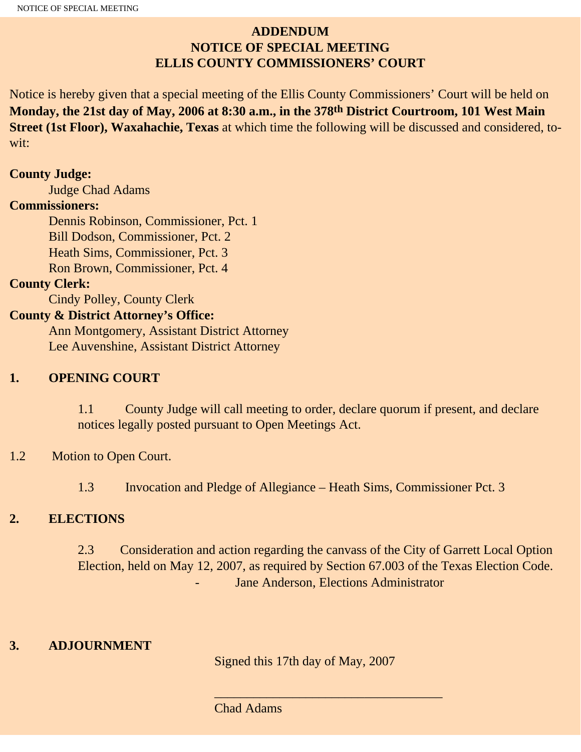# **ADDENDUM NOTICE OF SPECIAL MEETING ELLIS COUNTY COMMISSIONERS' COURT**

Notice is hereby given that a special meeting of the Ellis County Commissioners' Court will be held on **Monday, the 21st day of May, 2006 at 8:30 a.m., in the 378th District Courtroom, 101 West Main Street (1st Floor), Waxahachie, Texas** at which time the following will be discussed and considered, towit:

#### **County Judge:**

Judge Chad Adams

### **Commissioners:**

 Dennis Robinson, Commissioner, Pct. 1 Bill Dodson, Commissioner, Pct. 2 Heath Sims, Commissioner, Pct. 3 Ron Brown, Commissioner, Pct. 4

### **County Clerk:**

Cindy Polley, County Clerk

# **County & District Attorney's Office:**

 Ann Montgomery, Assistant District Attorney Lee Auvenshine, Assistant District Attorney

### **1. OPENING COURT**

1.1 County Judge will call meeting to order, declare quorum if present, and declare notices legally posted pursuant to Open Meetings Act.

### 1.2 Motion to Open Court.

1.3 Invocation and Pledge of Allegiance – Heath Sims, Commissioner Pct. 3

### **2. ELECTIONS**

2.3 Consideration and action regarding the canvass of the City of Garrett Local Option Election, held on May 12, 2007, as required by Section 67.003 of the Texas Election Code. Jane Anderson, Elections Administrator

### **3. ADJOURNMENT**

Signed this 17th day of May, 2007

\_\_\_\_\_\_\_\_\_\_\_\_\_\_\_\_\_\_\_\_\_\_\_\_\_\_\_\_\_\_\_\_\_\_\_

Chad Adams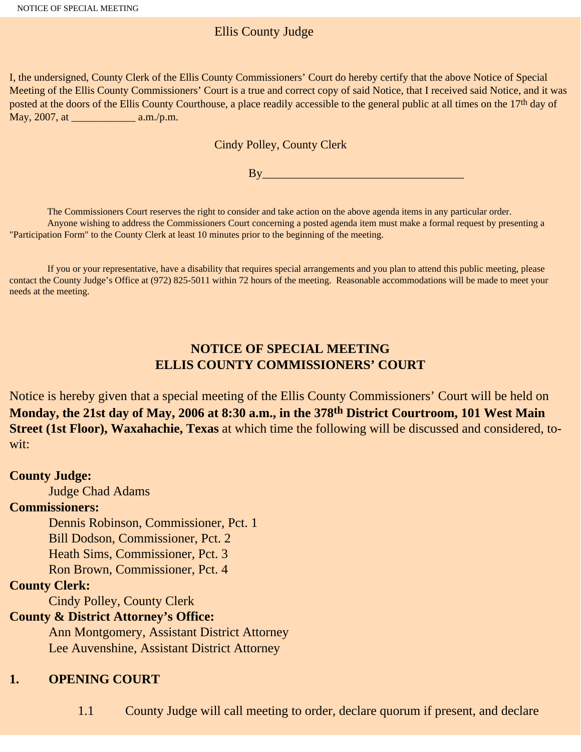# Ellis County Judge

I, the undersigned, County Clerk of the Ellis County Commissioners' Court do hereby certify that the above Notice of Special Meeting of the Ellis County Commissioners' Court is a true and correct copy of said Notice, that I received said Notice, and it was posted at the doors of the Ellis County Courthouse, a place readily accessible to the general public at all times on the 17<sup>th</sup> day of May, 2007, at \_\_\_\_\_\_\_\_\_\_\_\_ a.m./p.m.

#### Cindy Polley, County Clerk

 $By$ 

 The Commissioners Court reserves the right to consider and take action on the above agenda items in any particular order. Anyone wishing to address the Commissioners Court concerning a posted agenda item must make a formal request by presenting a "Participation Form" to the County Clerk at least 10 minutes prior to the beginning of the meeting.

 If you or your representative, have a disability that requires special arrangements and you plan to attend this public meeting, please contact the County Judge's Office at (972) 825-5011 within 72 hours of the meeting. Reasonable accommodations will be made to meet your needs at the meeting.

# **NOTICE OF SPECIAL MEETING ELLIS COUNTY COMMISSIONERS' COURT**

Notice is hereby given that a special meeting of the Ellis County Commissioners' Court will be held on **Monday, the 21st day of May, 2006 at 8:30 a.m., in the 378th District Courtroom, 101 West Main Street (1st Floor), Waxahachie, Texas** at which time the following will be discussed and considered, towit:

#### **County Judge:**

Judge Chad Adams

### **Commissioners:**

Dennis Robinson, Commissioner, Pct. 1

Bill Dodson, Commissioner, Pct. 2

Heath Sims, Commissioner, Pct. 3

Ron Brown, Commissioner, Pct. 4

### **County Clerk:**

Cindy Polley, County Clerk

# **County & District Attorney's Office:**

 Ann Montgomery, Assistant District Attorney Lee Auvenshine, Assistant District Attorney

# **1. OPENING COURT**

1.1 County Judge will call meeting to order, declare quorum if present, and declare